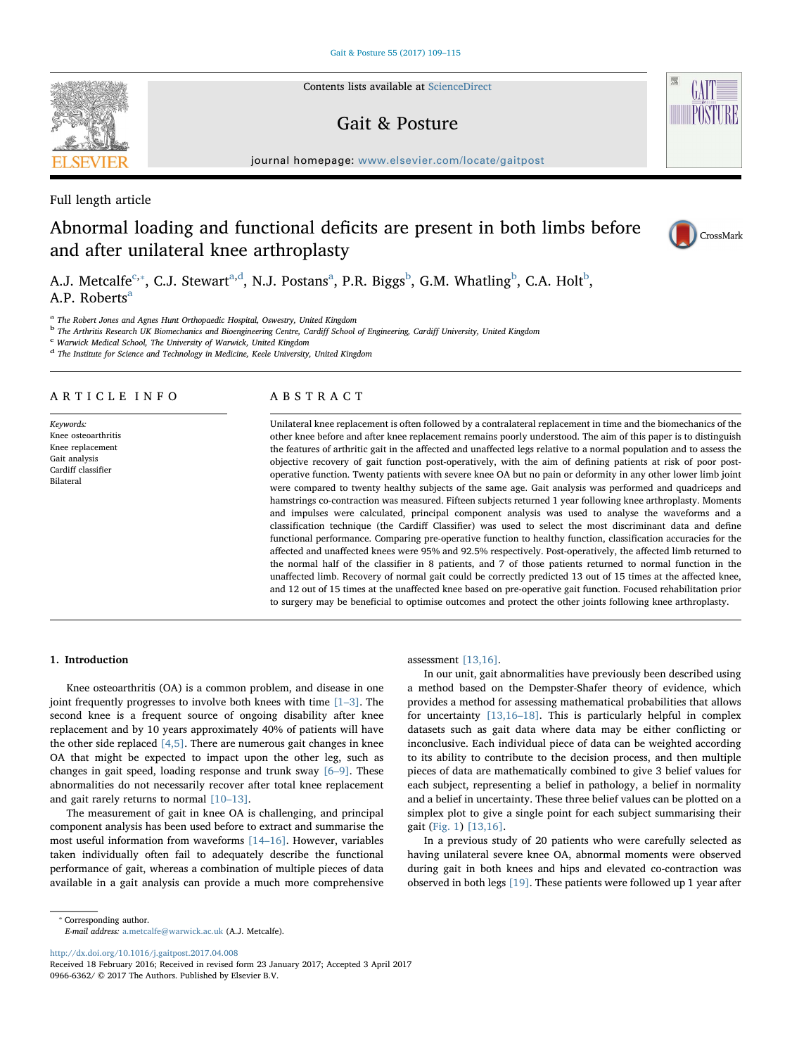Contents lists available at [ScienceDirect](http://www.sciencedirect.com/science/journal/09666362)

# Gait & Posture

journal homepage: [www.elsevier.com/locate/gaitpost](http://www.elsevier.com/locate/gaitpost)

Full length article

# Abnormal loading and functional deficits are present in both limbs before and after unilateral knee arthroplasty



A.J. Met[c](#page-0-0)[a](#page-0-2)lfe $^{\rm c, *},$  C.J. Stewart $^{\rm a, d}$  $^{\rm a, d}$  $^{\rm a, d}$ , N.J. Postans $^{\rm a}$ , P.R. Biggs $^{\rm b}$  $^{\rm b}$  $^{\rm b}$ , G.M. Whatling $^{\rm b}$ , C.A. Holt $^{\rm b}$ , A.P. Roberts<sup>[a](#page-0-2)</sup>

<span id="page-0-2"></span><sup>a</sup> The Robert Jones and Agnes Hunt Orthopaedic Hospital, Oswestry, United Kingdom

<span id="page-0-4"></span>b The Arthritis Research UK Biomechanics and Bioengineering Centre, Cardiff School of Engineering, Cardiff University, United Kingdom c Warwick Medical School, The University of Warwick, United Kingdom

<span id="page-0-0"></span>

<span id="page-0-3"></span><sup>d</sup> The Institute for Science and Technology in Medicine, Keele University, United Kingdom

### ARTICLE INFO

Keywords: Knee osteoarthritis Knee replacement Gait analysis Cardiff classifier Bilateral

## ABSTRACT

Unilateral knee replacement is often followed by a contralateral replacement in time and the biomechanics of the other knee before and after knee replacement remains poorly understood. The aim of this paper is to distinguish the features of arthritic gait in the affected and unaffected legs relative to a normal population and to assess the objective recovery of gait function post-operatively, with the aim of defining patients at risk of poor postoperative function. Twenty patients with severe knee OA but no pain or deformity in any other lower limb joint were compared to twenty healthy subjects of the same age. Gait analysis was performed and quadriceps and hamstrings co-contraction was measured. Fifteen subjects returned 1 year following knee arthroplasty. Moments and impulses were calculated, principal component analysis was used to analyse the waveforms and a classification technique (the Cardiff Classifier) was used to select the most discriminant data and define functional performance. Comparing pre-operative function to healthy function, classification accuracies for the affected and unaffected knees were 95% and 92.5% respectively. Post-operatively, the affected limb returned to the normal half of the classifier in 8 patients, and 7 of those patients returned to normal function in the unaffected limb. Recovery of normal gait could be correctly predicted 13 out of 15 times at the affected knee, and 12 out of 15 times at the unaffected knee based on pre-operative gait function. Focused rehabilitation prior to surgery may be beneficial to optimise outcomes and protect the other joints following knee arthroplasty.

### 1. Introduction

Knee osteoarthritis (OA) is a common problem, and disease in one joint frequently progresses to involve both knees with time [1–[3\].](#page-5-0) The second knee is a frequent source of ongoing disability after knee replacement and by 10 years approximately 40% of patients will have the other side replaced  $[4,5]$ . There are numerous gait changes in knee OA that might be expected to impact upon the other leg, such as changes in gait speed, loading response and trunk sway [6–[9\].](#page-5-2) These abnormalities do not necessarily recover after total knee replacement and gait rarely returns to normal [10–[13\].](#page-5-3)

The measurement of gait in knee OA is challenging, and principal component analysis has been used before to extract and summarise the most useful information from waveforms [14–[16\]](#page-5-4). However, variables taken individually often fail to adequately describe the functional performance of gait, whereas a combination of multiple pieces of data available in a gait analysis can provide a much more comprehensive assessment [\[13,16\].](#page-5-5)

In our unit, gait abnormalities have previously been described using a method based on the Dempster-Shafer theory of evidence, which provides a method for assessing mathematical probabilities that allows for uncertainty [\[13,16](#page-5-5)–18]. This is particularly helpful in complex datasets such as gait data where data may be either conflicting or inconclusive. Each individual piece of data can be weighted according to its ability to contribute to the decision process, and then multiple pieces of data are mathematically combined to give 3 belief values for each subject, representing a belief in pathology, a belief in normality and a belief in uncertainty. These three belief values can be plotted on a simplex plot to give a single point for each subject summarising their gait ([Fig. 1\)](#page-1-0) [\[13,16\]](#page-5-5).

In a previous study of 20 patients who were carefully selected as having unilateral severe knee OA, abnormal moments were observed during gait in both knees and hips and elevated co-contraction was observed in both legs [\[19\]](#page-5-6). These patients were followed up 1 year after

<span id="page-0-1"></span>⁎ Corresponding author.

E-mail address: [a.metcalfe@warwick.ac.uk](mailto:a.metcalfe@warwick.ac.uk) (A.J. Metcalfe).

<http://dx.doi.org/10.1016/j.gaitpost.2017.04.008>



Received 18 February 2016; Received in revised form 23 January 2017; Accepted 3 April 2017 0966-6362/ © 2017 The Authors. Published by Elsevier B.V.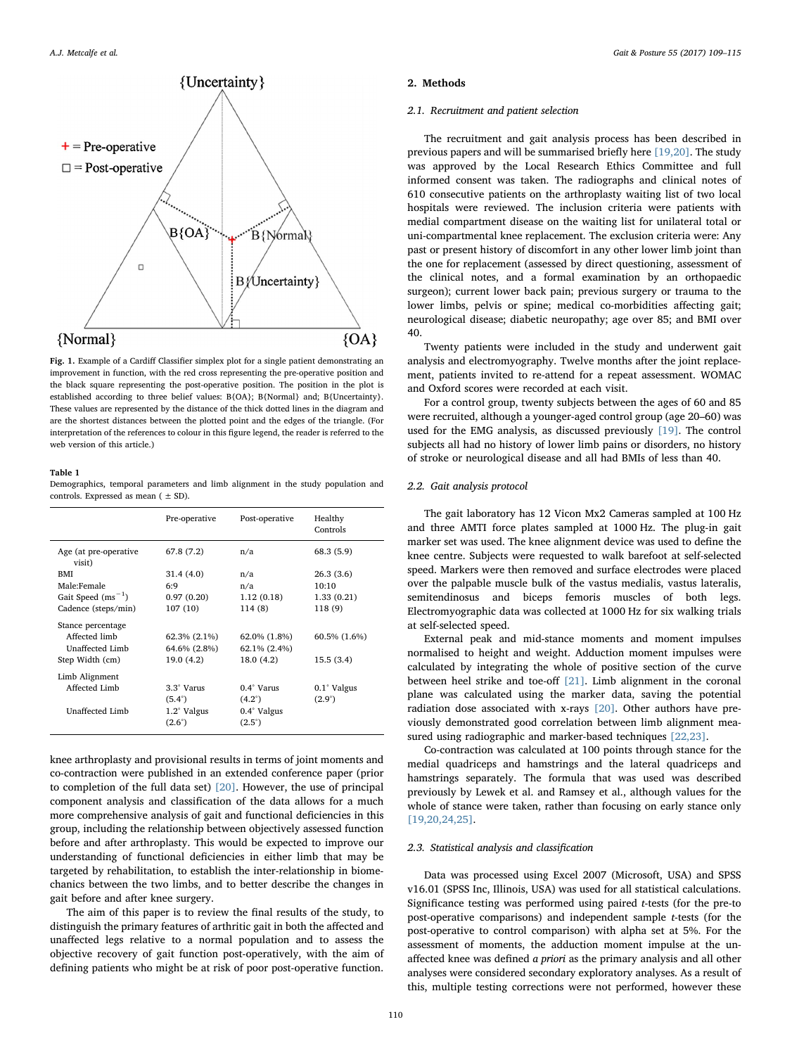<span id="page-1-0"></span>

Fig. 1. Example of a Cardiff Classifier simplex plot for a single patient demonstrating an improvement in function, with the red cross representing the pre-operative position and the black square representing the post-operative position. The position in the plot is established according to three belief values: B{OA}; B{Normal} and; B{Uncertainty}. These values are represented by the distance of the thick dotted lines in the diagram and are the shortest distances between the plotted point and the edges of the triangle. (For interpretation of the references to colour in this figure legend, the reader is referred to the web version of this article.)

#### <span id="page-1-1"></span>Table 1

Demographics, temporal parameters and limb alignment in the study population and controls. Expressed as mean ( $\pm$  SD).

|                                 | Pre-operative     | Post-operative     | Healthy<br>Controls |
|---------------------------------|-------------------|--------------------|---------------------|
| Age (at pre-operative<br>visit) | 67.8 (7.2)        | n/a                | 68.3 (5.9)          |
| <b>BMI</b>                      | 31.4 (4.0)        | n/a                | 26.3(3.6)           |
| Male:Female                     | 6:9               | n/a                | 10:10               |
| Gait Speed $(ms^{-1})$          | 0.97(0.20)        | 1.12(0.18)         | 1.33(0.21)          |
| Cadence (steps/min)             | 107(10)           | 114 (8)            | 118 (9)             |
| Stance percentage               |                   |                    |                     |
| Affected limb                   | 62.3% (2.1%)      | 62.0% (1.8%)       | 60.5% (1.6%)        |
| Unaffected Limb                 | 64.6% (2.8%)      | 62.1% (2.4%)       |                     |
| Step Width (cm)                 | 19.0 (4.2)        | 18.0 (4.2)         | 15.5(3.4)           |
| Limb Alignment                  |                   |                    |                     |
| Affected Limb                   | $3.3^\circ$ Varus | $0.4^\circ$ Varus  | $0.1^\circ$ Valgus  |
|                                 | $(5.4^{\circ})$   | $(4.2^{\circ})$    | $(2.9^{\circ})$     |
| Unaffected Limb                 | 1.2° Valgus       | $0.4^\circ$ Valgus |                     |
|                                 | $(2.6^{\circ})$   | $(2.5^{\circ})$    |                     |
|                                 |                   |                    |                     |

knee arthroplasty and provisional results in terms of joint moments and co-contraction were published in an extended conference paper (prior to completion of the full data set) [\[20\]](#page-6-0). However, the use of principal component analysis and classification of the data allows for a much more comprehensive analysis of gait and functional deficiencies in this group, including the relationship between objectively assessed function before and after arthroplasty. This would be expected to improve our understanding of functional deficiencies in either limb that may be targeted by rehabilitation, to establish the inter-relationship in biomechanics between the two limbs, and to better describe the changes in gait before and after knee surgery.

The aim of this paper is to review the final results of the study, to distinguish the primary features of arthritic gait in both the affected and unaffected legs relative to a normal population and to assess the objective recovery of gait function post-operatively, with the aim of defining patients who might be at risk of poor post-operative function.

### 2. Methods

### 2.1. Recruitment and patient selection

The recruitment and gait analysis process has been described in previous papers and will be summarised briefly here [\[19,20\].](#page-5-6) The study was approved by the Local Research Ethics Committee and full informed consent was taken. The radiographs and clinical notes of 610 consecutive patients on the arthroplasty waiting list of two local hospitals were reviewed. The inclusion criteria were patients with medial compartment disease on the waiting list for unilateral total or uni-compartmental knee replacement. The exclusion criteria were: Any past or present history of discomfort in any other lower limb joint than the one for replacement (assessed by direct questioning, assessment of the clinical notes, and a formal examination by an orthopaedic surgeon); current lower back pain; previous surgery or trauma to the lower limbs, pelvis or spine; medical co-morbidities affecting gait; neurological disease; diabetic neuropathy; age over 85; and BMI over 40.

Twenty patients were included in the study and underwent gait analysis and electromyography. Twelve months after the joint replacement, patients invited to re-attend for a repeat assessment. WOMAC and Oxford scores were recorded at each visit.

For a control group, twenty subjects between the ages of 60 and 85 were recruited, although a younger-aged control group (age 20–60) was used for the EMG analysis, as discussed previously [\[19\]](#page-5-6). The control subjects all had no history of lower limb pains or disorders, no history of stroke or neurological disease and all had BMIs of less than 40.

### 2.2. Gait analysis protocol

The gait laboratory has 12 Vicon Mx2 Cameras sampled at 100 Hz and three AMTI force plates sampled at 1000 Hz. The plug-in gait marker set was used. The knee alignment device was used to define the knee centre. Subjects were requested to walk barefoot at self-selected speed. Markers were then removed and surface electrodes were placed over the palpable muscle bulk of the vastus medialis, vastus lateralis, semitendinosus and biceps femoris muscles of both legs. Electromyographic data was collected at 1000 Hz for six walking trials at self-selected speed.

External peak and mid-stance moments and moment impulses normalised to height and weight. Adduction moment impulses were calculated by integrating the whole of positive section of the curve between heel strike and toe-off [\[21\].](#page-6-1) Limb alignment in the coronal plane was calculated using the marker data, saving the potential radiation dose associated with x-rays [\[20\].](#page-6-0) Other authors have previously demonstrated good correlation between limb alignment measured using radiographic and marker-based techniques [\[22,23\]](#page-6-2).

Co-contraction was calculated at 100 points through stance for the medial quadriceps and hamstrings and the lateral quadriceps and hamstrings separately. The formula that was used was described previously by Lewek et al. and Ramsey et al., although values for the whole of stance were taken, rather than focusing on early stance only [\[19,20,24,25\].](#page-5-6)

### 2.3. Statistical analysis and classification

Data was processed using Excel 2007 (Microsoft, USA) and SPSS v16.01 (SPSS Inc, Illinois, USA) was used for all statistical calculations. Significance testing was performed using paired t-tests (for the pre-to post-operative comparisons) and independent sample t-tests (for the post-operative to control comparison) with alpha set at 5%. For the assessment of moments, the adduction moment impulse at the unaffected knee was defined a priori as the primary analysis and all other analyses were considered secondary exploratory analyses. As a result of this, multiple testing corrections were not performed, however these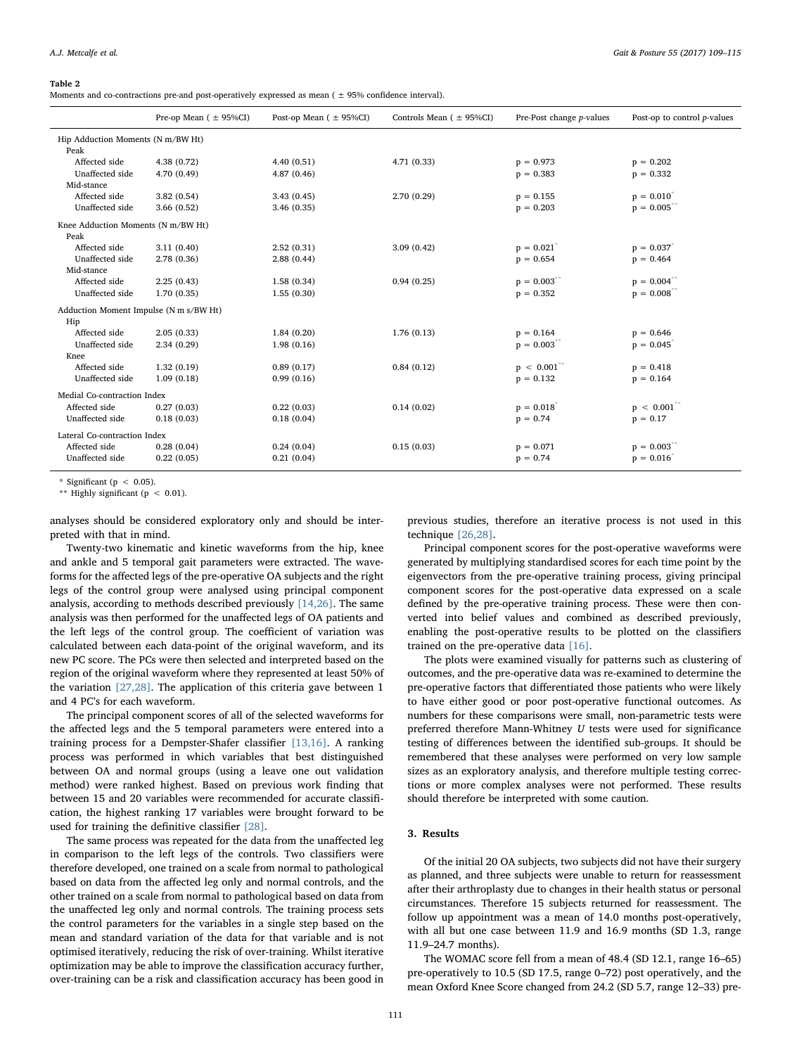#### <span id="page-2-2"></span>Table 2

Moments and co-contractions pre-and post-operatively expressed as mean  $( \pm 95\%$  confidence interval).

|                                           | Pre-op Mean $( \pm 95\% CI)$ | Post-op Mean $($ $\pm$ 95%CI) | Controls Mean $($ $\pm$ 95%CI) | Pre-Post change <i>p</i> -values | Post-op to control <i>p</i> -values |  |  |  |
|-------------------------------------------|------------------------------|-------------------------------|--------------------------------|----------------------------------|-------------------------------------|--|--|--|
| Hip Adduction Moments (N m/BW Ht)<br>Peak |                              |                               |                                |                                  |                                     |  |  |  |
| Affected side                             | 4.38 (0.72)                  | 4.40(0.51)                    | 4.71 (0.33)                    | $p = 0.973$                      | $p = 0.202$                         |  |  |  |
| Unaffected side                           | 4.70 (0.49)                  | 4.87(0.46)                    |                                | $p = 0.383$                      | $p = 0.332$                         |  |  |  |
| Mid-stance                                |                              |                               |                                |                                  |                                     |  |  |  |
| Affected side                             | 3.82(0.54)                   | 3.43(0.45)                    | 2.70(0.29)                     | $p = 0.155$                      | $p = 0.010^{*}$                     |  |  |  |
| Unaffected side                           | 3.66(0.52)                   | 3.46(0.35)                    |                                | $p = 0.203$                      | $p = 0.005$                         |  |  |  |
| Knee Adduction Moments (N m/BW Ht)        |                              |                               |                                |                                  |                                     |  |  |  |
| Peak                                      |                              |                               |                                |                                  |                                     |  |  |  |
| Affected side                             | 3.11(0.40)                   | 2.52(0.31)                    | 3.09(0.42)                     | $p = 0.021$                      | $p = 0.037$                         |  |  |  |
| Unaffected side                           | 2.78(0.36)                   | 2.88(0.44)                    |                                | $p = 0.654$                      | $p = 0.464$                         |  |  |  |
| Mid-stance                                |                              |                               |                                |                                  |                                     |  |  |  |
| Affected side                             | 2.25(0.43)                   | 1.58(0.34)                    | 0.94(0.25)                     | $p = 0.003$ **                   | $p = 0.004$                         |  |  |  |
| Unaffected side                           | 1.70(0.35)                   | 1.55(0.30)                    |                                | $p = 0.352$                      | $p = 0.008$                         |  |  |  |
| Adduction Moment Impulse (N m s/BW Ht)    |                              |                               |                                |                                  |                                     |  |  |  |
| Hip                                       |                              |                               |                                |                                  |                                     |  |  |  |
| Affected side                             | 2.05(0.33)                   | 1.84(0.20)                    | 1.76(0.13)                     | $p = 0.164$                      | $p = 0.646$                         |  |  |  |
| Unaffected side                           | 2.34(0.29)                   | 1.98(0.16)                    |                                | $p = 0.003$                      | $p = 0.045$                         |  |  |  |
| Knee                                      |                              |                               |                                |                                  |                                     |  |  |  |
| Affected side                             | 1.32(0.19)                   | 0.89(0.17)                    | 0.84(0.12)                     | $p < 0.001$ <sup>**</sup>        | $p = 0.418$                         |  |  |  |
| Unaffected side                           | 1.09(0.18)                   | 0.99(0.16)                    |                                | $p = 0.132$                      | $p = 0.164$                         |  |  |  |
| Medial Co-contraction Index               |                              |                               |                                |                                  |                                     |  |  |  |
| Affected side                             | 0.27(0.03)                   | 0.22(0.03)                    | 0.14(0.02)                     | $p = 0.018$                      | $< 0.001$ **<br>D.                  |  |  |  |
| Unaffected side                           | 0.18(0.03)                   | 0.18(0.04)                    |                                | $p = 0.74$                       | $p = 0.17$                          |  |  |  |
| Lateral Co-contraction Index              |                              |                               |                                |                                  |                                     |  |  |  |
| Affected side                             | 0.28(0.04)                   | 0.24(0.04)                    | 0.15(0.03)                     | $p = 0.071$                      | $p = 0.003$                         |  |  |  |
| Unaffected side                           | 0.22(0.05)                   | 0.21(0.04)                    |                                | $p = 0.74$                       | $p = 0.016$                         |  |  |  |
|                                           |                              |                               |                                |                                  |                                     |  |  |  |

<span id="page-2-0"></span>\* Significant ( $p < 0.05$ ).

<span id="page-2-1"></span>\*\* Highly significant (p < 0.01).

analyses should be considered exploratory only and should be interpreted with that in mind.

Twenty-two kinematic and kinetic waveforms from the hip, knee and ankle and 5 temporal gait parameters were extracted. The waveforms for the affected legs of the pre-operative OA subjects and the right legs of the control group were analysed using principal component analysis, according to methods described previously [\[14,26\].](#page-5-4) The same analysis was then performed for the unaffected legs of OA patients and the left legs of the control group. The coefficient of variation was calculated between each data-point of the original waveform, and its new PC score. The PCs were then selected and interpreted based on the region of the original waveform where they represented at least 50% of the variation [\[27,28\].](#page-6-3) The application of this criteria gave between 1 and 4 PC's for each waveform.

The principal component scores of all of the selected waveforms for the affected legs and the 5 temporal parameters were entered into a training process for a Dempster-Shafer classifier [\[13,16\].](#page-5-5) A ranking process was performed in which variables that best distinguished between OA and normal groups (using a leave one out validation method) were ranked highest. Based on previous work finding that between 15 and 20 variables were recommended for accurate classification, the highest ranking 17 variables were brought forward to be used for training the definitive classifier [\[28\]](#page-6-4).

The same process was repeated for the data from the unaffected leg in comparison to the left legs of the controls. Two classifiers were therefore developed, one trained on a scale from normal to pathological based on data from the affected leg only and normal controls, and the other trained on a scale from normal to pathological based on data from the unaffected leg only and normal controls. The training process sets the control parameters for the variables in a single step based on the mean and standard variation of the data for that variable and is not optimised iteratively, reducing the risk of over-training. Whilst iterative optimization may be able to improve the classification accuracy further, over-training can be a risk and classification accuracy has been good in

previous studies, therefore an iterative process is not used in this technique [\[26,28\].](#page-6-5)

Principal component scores for the post-operative waveforms were generated by multiplying standardised scores for each time point by the eigenvectors from the pre-operative training process, giving principal component scores for the post-operative data expressed on a scale defined by the pre-operative training process. These were then converted into belief values and combined as described previously, enabling the post-operative results to be plotted on the classifiers trained on the pre-operative data [\[16\]](#page-5-7).

The plots were examined visually for patterns such as clustering of outcomes, and the pre-operative data was re-examined to determine the pre-operative factors that differentiated those patients who were likely to have either good or poor post-operative functional outcomes. As numbers for these comparisons were small, non-parametric tests were preferred therefore Mann-Whitney U tests were used for significance testing of differences between the identified sub-groups. It should be remembered that these analyses were performed on very low sample sizes as an exploratory analysis, and therefore multiple testing corrections or more complex analyses were not performed. These results should therefore be interpreted with some caution.

### 3. Results

Of the initial 20 OA subjects, two subjects did not have their surgery as planned, and three subjects were unable to return for reassessment after their arthroplasty due to changes in their health status or personal circumstances. Therefore 15 subjects returned for reassessment. The follow up appointment was a mean of 14.0 months post-operatively, with all but one case between 11.9 and 16.9 months (SD 1.3, range 11.9–24.7 months).

The WOMAC score fell from a mean of 48.4 (SD 12.1, range 16–65) pre-operatively to 10.5 (SD 17.5, range 0–72) post operatively, and the mean Oxford Knee Score changed from 24.2 (SD 5.7, range 12–33) pre-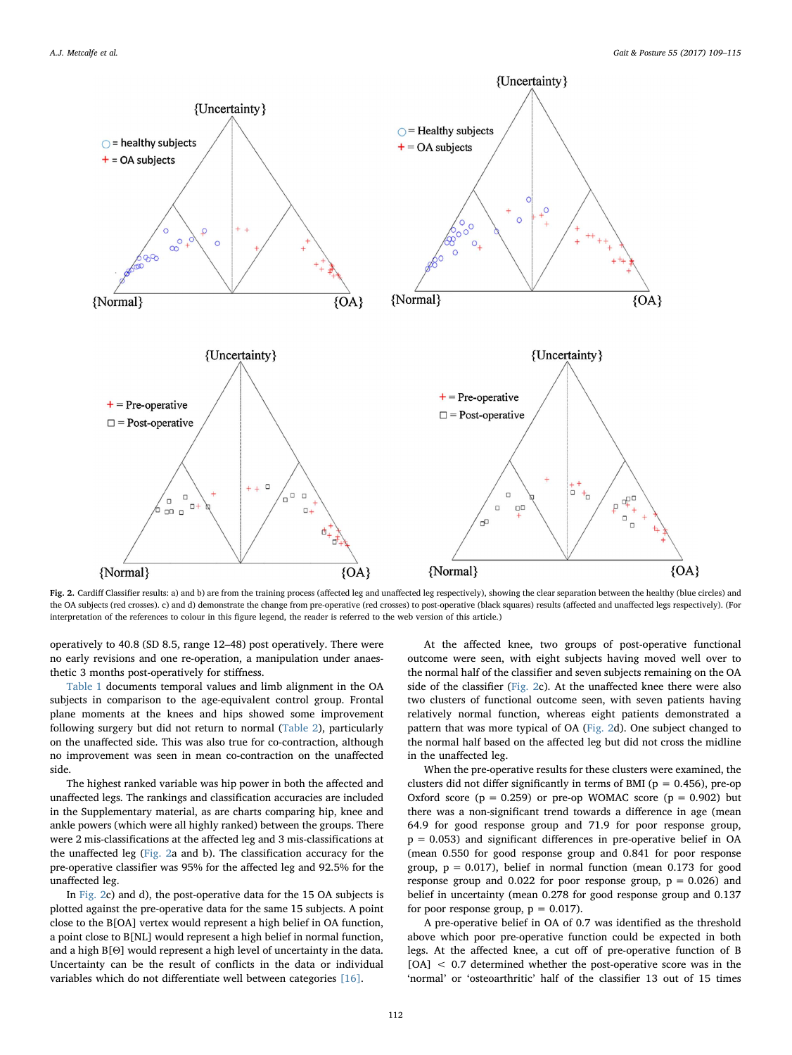<span id="page-3-0"></span>

Fig. 2. Cardiff Classifier results: a) and b) are from the training process (affected leg and unaffected leg respectively), showing the clear separation between the healthy (blue circles) and the OA subjects (red crosses). c) and d) demonstrate the change from pre-operative (red crosses) to post-operative (black squares) results (affected and unaffected legs respectively). (For interpretation of the references to colour in this figure legend, the reader is referred to the web version of this article.)

operatively to 40.8 (SD 8.5, range 12–48) post operatively. There were no early revisions and one re-operation, a manipulation under anaesthetic 3 months post-operatively for stiffness.

[Table 1](#page-1-1) documents temporal values and limb alignment in the OA subjects in comparison to the age-equivalent control group. Frontal plane moments at the knees and hips showed some improvement following surgery but did not return to normal [\(Table 2](#page-2-2)), particularly on the unaffected side. This was also true for co-contraction, although no improvement was seen in mean co-contraction on the unaffected side.

The highest ranked variable was hip power in both the affected and unaffected legs. The rankings and classification accuracies are included in the Supplementary material, as are charts comparing hip, knee and ankle powers (which were all highly ranked) between the groups. There were 2 mis-classifications at the affected leg and 3 mis-classifications at the unaffected leg [\(Fig. 2](#page-3-0)a and b). The classification accuracy for the pre-operative classifier was 95% for the affected leg and 92.5% for the unaffected leg.

In [Fig. 2c](#page-3-0)) and d), the post-operative data for the 15 OA subjects is plotted against the pre-operative data for the same 15 subjects. A point close to the B[OA] vertex would represent a high belief in OA function, a point close to B[NL] would represent a high belief in normal function, and a high B[Θ] would represent a high level of uncertainty in the data. Uncertainty can be the result of conflicts in the data or individual variables which do not differentiate well between categories [\[16\].](#page-5-7)

At the affected knee, two groups of post-operative functional outcome were seen, with eight subjects having moved well over to the normal half of the classifier and seven subjects remaining on the OA side of the classifier ([Fig. 2](#page-3-0)c). At the unaffected knee there were also two clusters of functional outcome seen, with seven patients having relatively normal function, whereas eight patients demonstrated a pattern that was more typical of OA [\(Fig. 2d](#page-3-0)). One subject changed to the normal half based on the affected leg but did not cross the midline in the unaffected leg.

When the pre-operative results for these clusters were examined, the clusters did not differ significantly in terms of BMI ( $p = 0.456$ ), pre-op Oxford score ( $p = 0.259$ ) or pre-op WOMAC score ( $p = 0.902$ ) but there was a non-significant trend towards a difference in age (mean 64.9 for good response group and 71.9 for poor response group,  $p = 0.053$ ) and significant differences in pre-operative belief in OA (mean 0.550 for good response group and 0.841 for poor response group,  $p = 0.017$ ), belief in normal function (mean 0.173 for good response group and  $0.022$  for poor response group,  $p = 0.026$ ) and belief in uncertainty (mean 0.278 for good response group and 0.137 for poor response group,  $p = 0.017$ ).

A pre-operative belief in OA of 0.7 was identified as the threshold above which poor pre-operative function could be expected in both legs. At the affected knee, a cut off of pre-operative function of B [OA] < 0.7 determined whether the post-operative score was in the 'normal' or 'osteoarthritic' half of the classifier 13 out of 15 times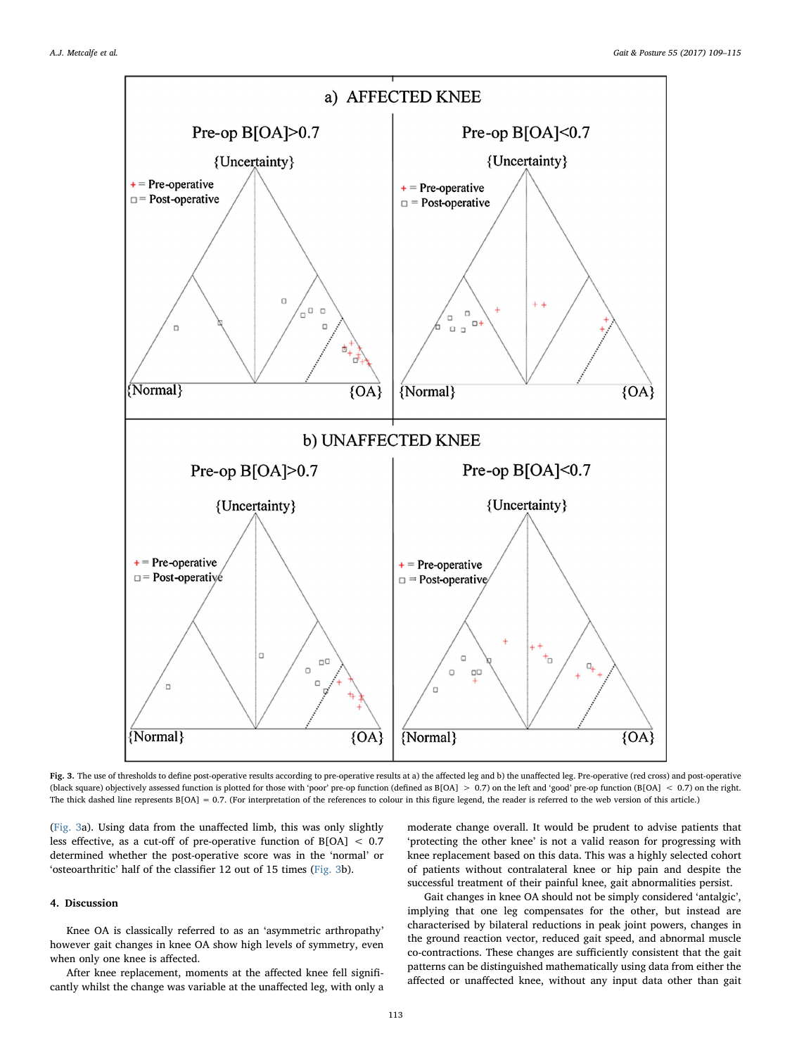<span id="page-4-0"></span>

Fig. 3. The use of thresholds to define post-operative results according to pre-operative results at a) the affected leg and b) the unaffected leg. Pre-operative (red cross) and post-operative (black square) objectively assessed function is plotted for those with 'poor' pre-op function (defined as B[OA] > 0.7) on the left and 'good' pre-op function (B[OA] < 0.7) on the right. The thick dashed line represents B[OA] = 0.7. (For interpretation of the references to colour in this figure legend, the reader is referred to the web version of this article.)

([Fig. 3](#page-4-0)a). Using data from the unaffected limb, this was only slightly less effective, as a cut-off of pre-operative function of B[OA] < 0.7 determined whether the post-operative score was in the 'normal' or 'osteoarthritic' half of the classifier 12 out of 15 times [\(Fig. 3b](#page-4-0)).

### 4. Discussion

Knee OA is classically referred to as an 'asymmetric arthropathy' however gait changes in knee OA show high levels of symmetry, even when only one knee is affected.

After knee replacement, moments at the affected knee fell significantly whilst the change was variable at the unaffected leg, with only a moderate change overall. It would be prudent to advise patients that 'protecting the other knee' is not a valid reason for progressing with knee replacement based on this data. This was a highly selected cohort of patients without contralateral knee or hip pain and despite the successful treatment of their painful knee, gait abnormalities persist.

Gait changes in knee OA should not be simply considered 'antalgic', implying that one leg compensates for the other, but instead are characterised by bilateral reductions in peak joint powers, changes in the ground reaction vector, reduced gait speed, and abnormal muscle co-contractions. These changes are sufficiently consistent that the gait patterns can be distinguished mathematically using data from either the affected or unaffected knee, without any input data other than gait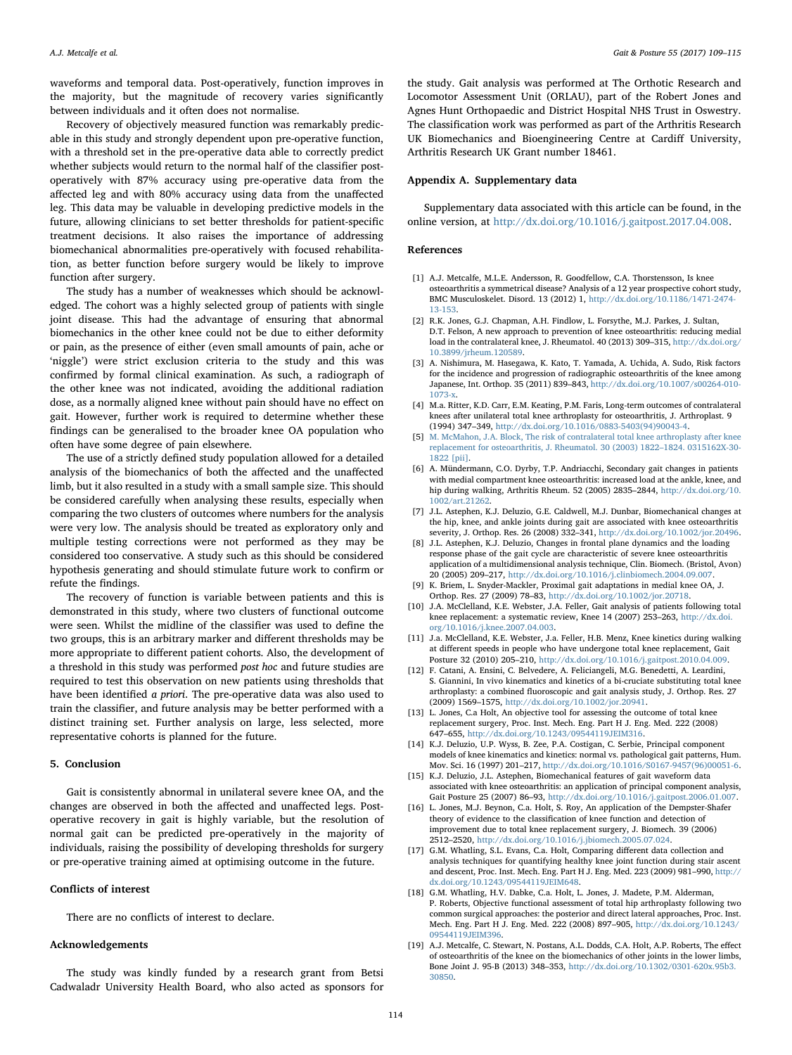waveforms and temporal data. Post-operatively, function improves in the majority, but the magnitude of recovery varies significantly between individuals and it often does not normalise.

Recovery of objectively measured function was remarkably predicable in this study and strongly dependent upon pre-operative function, with a threshold set in the pre-operative data able to correctly predict whether subjects would return to the normal half of the classifier postoperatively with 87% accuracy using pre-operative data from the affected leg and with 80% accuracy using data from the unaffected leg. This data may be valuable in developing predictive models in the future, allowing clinicians to set better thresholds for patient-specific treatment decisions. It also raises the importance of addressing biomechanical abnormalities pre-operatively with focused rehabilitation, as better function before surgery would be likely to improve function after surgery.

The study has a number of weaknesses which should be acknowledged. The cohort was a highly selected group of patients with single joint disease. This had the advantage of ensuring that abnormal biomechanics in the other knee could not be due to either deformity or pain, as the presence of either (even small amounts of pain, ache or 'niggle') were strict exclusion criteria to the study and this was confirmed by formal clinical examination. As such, a radiograph of the other knee was not indicated, avoiding the additional radiation dose, as a normally aligned knee without pain should have no effect on gait. However, further work is required to determine whether these findings can be generalised to the broader knee OA population who often have some degree of pain elsewhere.

The use of a strictly defined study population allowed for a detailed analysis of the biomechanics of both the affected and the unaffected limb, but it also resulted in a study with a small sample size. This should be considered carefully when analysing these results, especially when comparing the two clusters of outcomes where numbers for the analysis were very low. The analysis should be treated as exploratory only and multiple testing corrections were not performed as they may be considered too conservative. A study such as this should be considered hypothesis generating and should stimulate future work to confirm or refute the findings.

The recovery of function is variable between patients and this is demonstrated in this study, where two clusters of functional outcome were seen. Whilst the midline of the classifier was used to define the two groups, this is an arbitrary marker and different thresholds may be more appropriate to different patient cohorts. Also, the development of a threshold in this study was performed post hoc and future studies are required to test this observation on new patients using thresholds that have been identified a priori. The pre-operative data was also used to train the classifier, and future analysis may be better performed with a distinct training set. Further analysis on large, less selected, more representative cohorts is planned for the future.

### 5. Conclusion

Gait is consistently abnormal in unilateral severe knee OA, and the changes are observed in both the affected and unaffected legs. Postoperative recovery in gait is highly variable, but the resolution of normal gait can be predicted pre-operatively in the majority of individuals, raising the possibility of developing thresholds for surgery or pre-operative training aimed at optimising outcome in the future.

### Conflicts of interest

There are no conflicts of interest to declare.

### Acknowledgements

The study was kindly funded by a research grant from Betsi Cadwaladr University Health Board, who also acted as sponsors for

the study. Gait analysis was performed at The Orthotic Research and Locomotor Assessment Unit (ORLAU), part of the Robert Jones and Agnes Hunt Orthopaedic and District Hospital NHS Trust in Oswestry. The classification work was performed as part of the Arthritis Research UK Biomechanics and Bioengineering Centre at Cardiff University, Arthritis Research UK Grant number 18461.

### Appendix A. Supplementary data

Supplementary data associated with this article can be found, in the online version, at <http://dx.doi.org/10.1016/j.gaitpost.2017.04.008>.

#### References

- <span id="page-5-0"></span>[1] A.J. Metcalfe, M.L.E. Andersson, R. Goodfellow, C.A. Thorstensson, Is knee osteoarthritis a symmetrical disease? Analysis of a 12 year prospective cohort study, BMC Musculoskelet. Disord. 13 (2012) 1, [http://dx.doi.org/10.1186/1471-2474-](http://dx.doi.org/10.1186/1471-2474-13-153) [13-153.](http://dx.doi.org/10.1186/1471-2474-13-153)
- [2] R.K. Jones, G.J. Chapman, A.H. Findlow, L. Forsythe, M.J. Parkes, J. Sultan, D.T. Felson, A new approach to prevention of knee osteoarthritis: reducing medial load in the contralateral knee, J. Rheumatol. 40 (2013) 309–315, [http://dx.doi.org/](http://dx.doi.org/10.3899/jrheum.120589) [10.3899/jrheum.120589.](http://dx.doi.org/10.3899/jrheum.120589)
- [3] A. Nishimura, M. Hasegawa, K. Kato, T. Yamada, A. Uchida, A. Sudo, Risk factors for the incidence and progression of radiographic osteoarthritis of the knee among Japanese, Int. Orthop. 35 (2011) 839–843, [http://dx.doi.org/10.1007/s00264-010-](http://dx.doi.org/10.1007/s00264-010-1073-x) [1073-x.](http://dx.doi.org/10.1007/s00264-010-1073-x)
- <span id="page-5-1"></span>[4] M.a. Ritter, K.D. Carr, E.M. Keating, P.M. Faris, Long-term outcomes of contralateral knees after unilateral total knee arthroplasty for osteoarthritis, J. Arthroplast. 9 (1994) 347–349, [http://dx.doi.org/10.1016/0883-5403\(94\)90043-4.](http://dx.doi.org/10.1016/0883-5403(94)90043-4)
- [5] [M. McMahon, J.A. Block, The risk of contralateral total knee arthroplasty after knee](http://refhub.elsevier.com/S0966-6362(17)30120-0/sbref0025) [replacement for osteoarthritis, J. Rheumatol. 30 \(2003\) 1822](http://refhub.elsevier.com/S0966-6362(17)30120-0/sbref0025)–1824. 0315162X-30- [1822 \[pii\].](http://refhub.elsevier.com/S0966-6362(17)30120-0/sbref0025)
- <span id="page-5-2"></span>[6] A. Mündermann, C.O. Dyrby, T.P. Andriacchi, Secondary gait changes in patients with medial compartment knee osteoarthritis: increased load at the ankle, knee, and hip during walking, Arthritis Rheum. 52 (2005) 2835–2844, [http://dx.doi.org/10.](http://dx.doi.org/10.1002/art.21262) [1002/art.21262.](http://dx.doi.org/10.1002/art.21262)
- [7] J.L. Astephen, K.J. Deluzio, G.E. Caldwell, M.J. Dunbar, Biomechanical changes at the hip, knee, and ankle joints during gait are associated with knee osteoarthritis severity, J. Orthop. Res. 26 (2008) 332–341, [http://dx.doi.org/10.1002/jor.20496.](http://dx.doi.org/10.1002/jor.20496)
- [8] J.L. Astephen, K.J. Deluzio, Changes in frontal plane dynamics and the loading response phase of the gait cycle are characteristic of severe knee osteoarthritis application of a multidimensional analysis technique, Clin. Biomech. (Bristol, Avon) 20 (2005) 209–217, [http://dx.doi.org/10.1016/j.clinbiomech.2004.09.007.](http://dx.doi.org/10.1016/j.clinbiomech.2004.09.007)
- [9] K. Briem, L. Snyder-Mackler, Proximal gait adaptations in medial knee OA, J. Orthop. Res. 27 (2009) 78–83, [http://dx.doi.org/10.1002/jor.20718.](http://dx.doi.org/10.1002/jor.20718)
- <span id="page-5-3"></span>[10] J.A. McClelland, K.E. Webster, J.A. Feller, Gait analysis of patients following total knee replacement: a systematic review, Knee 14 (2007) 253–263, [http://dx.doi.](http://dx.doi.org/10.1016/j.knee.2007.04.003) [org/10.1016/j.knee.2007.04.003.](http://dx.doi.org/10.1016/j.knee.2007.04.003)
- [11] J.a. McClelland, K.E. Webster, J.a. Feller, H.B. Menz, Knee kinetics during walking at different speeds in people who have undergone total knee replacement, Gait Posture 32 (2010) 205–210, [http://dx.doi.org/10.1016/j.gaitpost.2010.04.009.](http://dx.doi.org/10.1016/j.gaitpost.2010.04.009)
- [12] F. Catani, A. Ensini, C. Belvedere, A. Feliciangeli, M.G. Benedetti, A. Leardini, S. Giannini, In vivo kinematics and kinetics of a bi-cruciate substituting total knee arthroplasty: a combined fluoroscopic and gait analysis study, J. Orthop. Res. 27 (2009) 1569–1575, [http://dx.doi.org/10.1002/jor.20941.](http://dx.doi.org/10.1002/jor.20941)
- <span id="page-5-5"></span>[13] L. Jones, C.a Holt, An objective tool for assessing the outcome of total knee replacement surgery, Proc. Inst. Mech. Eng. Part H J. Eng. Med. 222 (2008) 647–655, [http://dx.doi.org/10.1243/09544119JEIM316.](http://dx.doi.org/10.1243/09544119JEIM316)
- <span id="page-5-4"></span>[14] K.J. Deluzio, U.P. Wyss, B. Zee, P.A. Costigan, C. Serbie, Principal component models of knee kinematics and kinetics: normal vs. pathological gait patterns, Hum. Mov. Sci. 16 (1997) 201–217, [http://dx.doi.org/10.1016/S0167-9457\(96\)00051-6.](http://dx.doi.org/10.1016/S0167-9457(96)00051-6)
- [15] K.J. Deluzio, J.L. Astephen, Biomechanical features of gait waveform data associated with knee osteoarthritis: an application of principal component analysis, Gait Posture 25 (2007) 86–93, [http://dx.doi.org/10.1016/j.gaitpost.2006.01.007.](http://dx.doi.org/10.1016/j.gaitpost.2006.01.007)
- <span id="page-5-7"></span>[16] L. Jones, M.J. Beynon, C.a. Holt, S. Roy, An application of the Dempster-Shafer theory of evidence to the classification of knee function and detection of improvement due to total knee replacement surgery, J. Biomech. 39 (2006) 2512–2520, [http://dx.doi.org/10.1016/j.jbiomech.2005.07.024.](http://dx.doi.org/10.1016/j.jbiomech.2005.07.024)
- [17] G.M. Whatling, S.L. Evans, C.a. Holt, Comparing different data collection and analysis techniques for quantifying healthy knee joint function during stair ascent and descent, Proc. Inst. Mech. Eng. Part H J. Eng. Med. 223 (2009) 981–990, [http://](http://dx.doi.org/10.1243/09544119JEIM648) [dx.doi.org/10.1243/09544119JEIM648.](http://dx.doi.org/10.1243/09544119JEIM648)
- [18] G.M. Whatling, H.V. Dabke, C.a. Holt, L. Jones, J. Madete, P.M. Alderman, P. Roberts, Objective functional assessment of total hip arthroplasty following two common surgical approaches: the posterior and direct lateral approaches, Proc. Inst. Mech. Eng. Part H J. Eng. Med. 222 (2008) 897–905, [http://dx.doi.org/10.1243/](http://dx.doi.org/10.1243/09544119JEIM396) [09544119JEIM396.](http://dx.doi.org/10.1243/09544119JEIM396)
- <span id="page-5-6"></span>[19] A.J. Metcalfe, C. Stewart, N. Postans, A.L. Dodds, C.A. Holt, A.P. Roberts, The effect of osteoarthritis of the knee on the biomechanics of other joints in the lower limbs, Bone Joint J. 95-B (2013) 348–353, [http://dx.doi.org/10.1302/0301-620x.95b3.](http://dx.doi.org/10.1302/0301-620x.95b3.30850) [30850.](http://dx.doi.org/10.1302/0301-620x.95b3.30850)